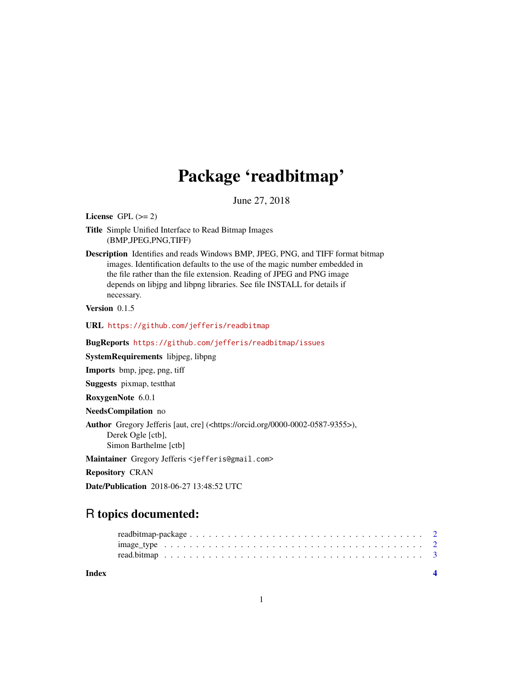## Package 'readbitmap'

June 27, 2018

<span id="page-0-0"></span>License GPL  $(>= 2)$ 

Title Simple Unified Interface to Read Bitmap Images (BMP,JPEG,PNG,TIFF)

Description Identifies and reads Windows BMP, JPEG, PNG, and TIFF format bitmap images. Identification defaults to the use of the magic number embedded in the file rather than the file extension. Reading of JPEG and PNG image depends on libjpg and libpng libraries. See file INSTALL for details if necessary.

Version 0.1.5

URL <https://github.com/jefferis/readbitmap>

BugReports <https://github.com/jefferis/readbitmap/issues>

SystemRequirements libjpeg, libpng

Imports bmp, jpeg, png, tiff

Suggests pixmap, testthat

RoxygenNote 6.0.1

NeedsCompilation no

Author Gregory Jefferis [aut, cre] (<https://orcid.org/0000-0002-0587-9355>), Derek Ogle [ctb], Simon Barthelme [ctb]

Maintainer Gregory Jefferis <jefferis@gmail.com>

Repository CRAN

Date/Publication 2018-06-27 13:48:52 UTC

### R topics documented:

| Index |                                                                                                           |  |  |  |  |  |  |  |  |  |  |  |  |  |  |  |  |  |  |  |
|-------|-----------------------------------------------------------------------------------------------------------|--|--|--|--|--|--|--|--|--|--|--|--|--|--|--|--|--|--|--|
|       |                                                                                                           |  |  |  |  |  |  |  |  |  |  |  |  |  |  |  |  |  |  |  |
|       | $image_type \ldots \ldots \ldots \ldots \ldots \ldots \ldots \ldots \ldots \ldots \ldots \ldots \ldots 2$ |  |  |  |  |  |  |  |  |  |  |  |  |  |  |  |  |  |  |  |
|       |                                                                                                           |  |  |  |  |  |  |  |  |  |  |  |  |  |  |  |  |  |  |  |

1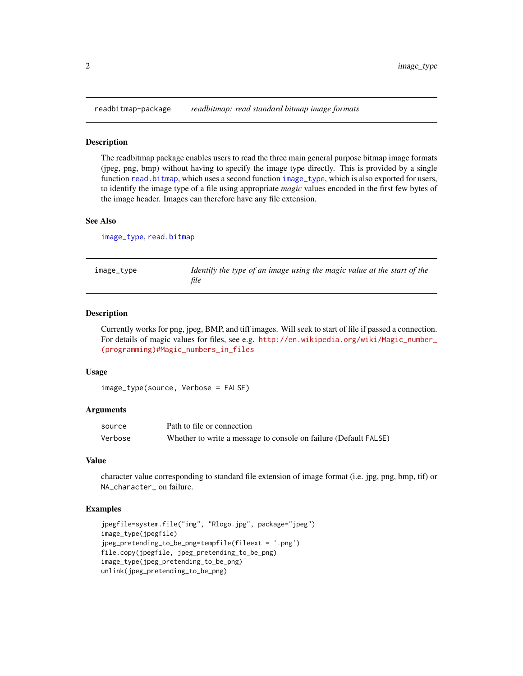<span id="page-1-0"></span>readbitmap-package *readbitmap: read standard bitmap image formats*

#### **Description**

The readbitmap package enables users to read the three main general purpose bitmap image formats (jpeg, png, bmp) without having to specify the image type directly. This is provided by a single function [read.bitmap](#page-2-1), which uses a second function [image\\_type](#page-1-1), which is also exported for users, to identify the image type of a file using appropriate *magic* values encoded in the first few bytes of the image header. Images can therefore have any file extension.

#### See Also

[image\\_type](#page-1-1), [read.bitmap](#page-2-1)

<span id="page-1-1"></span>image\_type *Identify the type of an image using the magic value at the start of the file*

#### Description

Currently works for png, jpeg, BMP, and tiff images. Will seek to start of file if passed a connection. For details of magic values for files, see e.g. [http://en.wikipedia.org/wiki/Magic\\_number\\_](http://en.wikipedia.org/wiki/Magic_number_(programming)#Magic_numbers_in_files) [\(programming\)#Magic\\_numbers\\_in\\_files](http://en.wikipedia.org/wiki/Magic_number_(programming)#Magic_numbers_in_files)

#### Usage

```
image_type(source, Verbose = FALSE)
```
#### Arguments

| source  | Path to file or connection                                       |
|---------|------------------------------------------------------------------|
| Verbose | Whether to write a message to console on failure (Default FALSE) |

#### Value

character value corresponding to standard file extension of image format (i.e. jpg, png, bmp, tif) or NA\_character\_ on failure.

#### Examples

```
jpegfile=system.file("img", "Rlogo.jpg", package="jpeg")
image_type(jpegfile)
jpeg_pretending_to_be_png=tempfile(fileext = '.png')
file.copy(jpegfile, jpeg_pretending_to_be_png)
image_type(jpeg_pretending_to_be_png)
unlink(jpeg_pretending_to_be_png)
```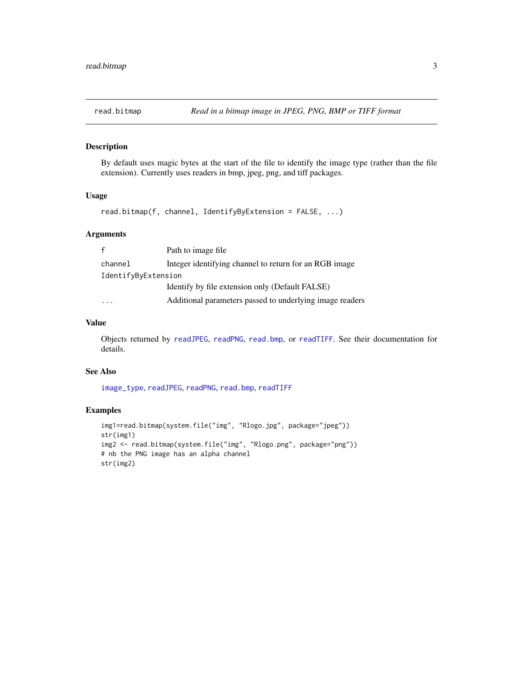<span id="page-2-1"></span><span id="page-2-0"></span>

#### Description

By default uses magic bytes at the start of the file to identify the image type (rather than the file extension). Currently uses readers in bmp, jpeg, png, and tiff packages.

#### Usage

```
read.bitmap(f, channel, IdentifyByExtension = FALSE, ...)
```
#### Arguments

|                     | Path to image file                                       |
|---------------------|----------------------------------------------------------|
| channel             | Integer identifying channel to return for an RGB image   |
| IdentifyByExtension |                                                          |
|                     | Identify by file extension only (Default FALSE)          |
|                     | Additional parameters passed to underlying image readers |

#### Value

Objects returned by [readJPEG](#page-0-0), [readPNG](#page-0-0), [read.bmp](#page-0-0), or [readTIFF](#page-0-0). See their documentation for details.

#### See Also

[image\\_type](#page-1-1), [readJPEG](#page-0-0), [readPNG](#page-0-0), [read.bmp](#page-0-0), [readTIFF](#page-0-0)

#### Examples

```
img1=read.bitmap(system.file("img", "Rlogo.jpg", package="jpeg"))
str(img1)
img2 <- read.bitmap(system.file("img", "Rlogo.png", package="png"))
# nb the PNG image has an alpha channel
str(img2)
```